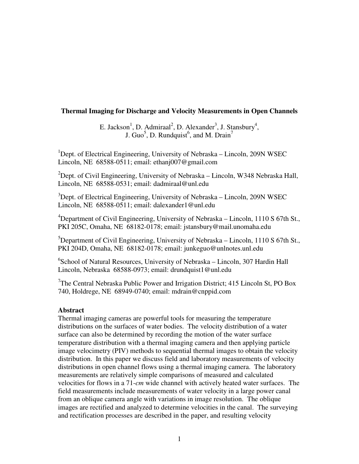# **Thermal Imaging for Discharge and Velocity Measurements in Open Channels**

E. Jackson<sup>1</sup>, D. Admiraal<sup>2</sup>, D. Alexander<sup>3</sup>, J. Stansbury<sup>4</sup>, J. Guo<sup>5</sup>, D. Rundquist<sup>6</sup>, and M. Drain<sup>7</sup>

<sup>1</sup>Dept. of Electrical Engineering, University of Nebraska – Lincoln, 209N WSEC Lincoln, NE 68588-0511; email: ethanj007@gmail.com

 $^{2}$ Dept. of Civil Engineering, University of Nebraska – Lincoln, W348 Nebraska Hall, Lincoln, NE 68588-0531; email: dadmiraal@unl.edu

<sup>3</sup>Dept. of Electrical Engineering, University of Nebraska – Lincoln, 209N WSEC Lincoln, NE 68588-0511; email: dalexander1@unl.edu

<sup>4</sup>Department of Civil Engineering, University of Nebraska – Lincoln, 1110 S 67th St., PKI 205C, Omaha, NE 68182-0178; email: jstansbury@mail.unomaha.edu

<sup>5</sup>Department of Civil Engineering, University of Nebraska – Lincoln, 1110 S 67th St., PKI 204D, Omaha, NE 68182-0178; email: junkeguo@unlnotes.unl.edu

6 School of Natural Resources, University of Nebraska – Lincoln, 307 Hardin Hall Lincoln, Nebraska 68588-0973; email: drundquist1@unl.edu

<sup>7</sup>The Central Nebraska Public Power and Irrigation District; 415 Lincoln St, PO Box 740, Holdrege, NE 68949-0740; email: mdrain@cnppid.com

# **Abstract**

Thermal imaging cameras are powerful tools for measuring the temperature distributions on the surfaces of water bodies. The velocity distribution of a water surface can also be determined by recording the motion of the water surface temperature distribution with a thermal imaging camera and then applying particle image velocimetry (PIV) methods to sequential thermal images to obtain the velocity distribution. In this paper we discuss field and laboratory measurements of velocity distributions in open channel flows using a thermal imaging camera. The laboratory measurements are relatively simple comparisons of measured and calculated velocities for flows in a 71-*cm* wide channel with actively heated water surfaces. The field measurements include measurements of water velocity in a large power canal from an oblique camera angle with variations in image resolution. The oblique images are rectified and analyzed to determine velocities in the canal. The surveying and rectification processes are described in the paper, and resulting velocity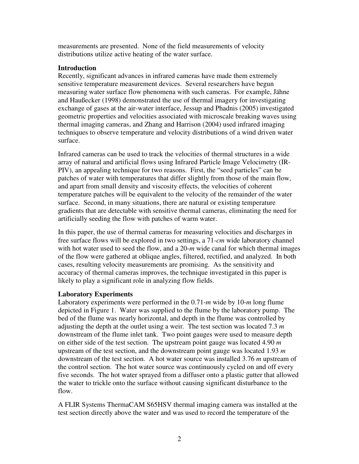measurements are presented. None of the field measurements of velocity distributions utilize active heating of the water surface.

### **Introduction**

Recently, significant advances in infrared cameras have made them extremely sensitive temperature measurement devices. Several researchers have begun measuring water surface flow phenomena with such cameras. For example, Jähne and Haußecker (1998) demonstrated the use of thermal imagery for investigating exchange of gases at the air-water interface, Jessup and Phadnis (2005) investigated geometric properties and velocities associated with microscale breaking waves using thermal imaging cameras, and Zhang and Harrison (2004) used infrared imaging techniques to observe temperature and velocity distributions of a wind driven water surface.

Infrared cameras can be used to track the velocities of thermal structures in a wide array of natural and artificial flows using Infrared Particle Image Velocimetry (IR-PIV), an appealing technique for two reasons. First, the "seed particles" can be patches of water with temperatures that differ slightly from those of the main flow, and apart from small density and viscosity effects, the velocities of coherent temperature patches will be equivalent to the velocity of the remainder of the water surface. Second, in many situations, there are natural or existing temperature gradients that are detectable with sensitive thermal cameras, eliminating the need for artificially seeding the flow with patches of warm water.

In this paper, the use of thermal cameras for measuring velocities and discharges in free surface flows will be explored in two settings, a 71-*cm* wide laboratory channel with hot water used to seed the flow, and a 20-*m* wide canal for which thermal images of the flow were gathered at oblique angles, filtered, rectified, and analyzed. In both cases, resulting velocity measurements are promising. As the sensitivity and accuracy of thermal cameras improves, the technique investigated in this paper is likely to play a significant role in analyzing flow fields.

# **Laboratory Experiments**

Laboratory experiments were performed in the 0.71-*m* wide by 10-*m* long flume depicted in Figure 1. Water was supplied to the flume by the laboratory pump. The bed of the flume was nearly horizontal, and depth in the flume was controlled by adjusting the depth at the outlet using a weir. The test section was located 7.3 *m* downstream of the flume inlet tank. Two point gauges were used to measure depth on either side of the test section. The upstream point gauge was located 4.90 *m* upstream of the test section, and the downstream point gauge was located 1.93 *m* downstream of the test section. A hot water source was installed 3.76 *m* upstream of the control section. The hot water source was continuously cycled on and off every five seconds. The hot water sprayed from a diffuser onto a plastic gutter that allowed the water to trickle onto the surface without causing significant disturbance to the flow.

A FLIR Systems ThermaCAM S65HSV thermal imaging camera was installed at the test section directly above the water and was used to record the temperature of the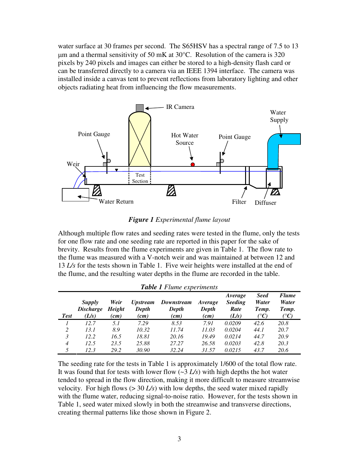water surface at 30 frames per second. The S65HSV has a spectral range of 7.5 to 13 µm and a thermal sensitivity of 50 mK at 30°C. Resolution of the camera is 320 pixels by 240 pixels and images can either be stored to a high-density flash card or can be transferred directly to a camera via an IEEE 1394 interface. The camera was installed inside a canvas tent to prevent reflections from laboratory lighting and other objects radiating heat from influencing the flow measurements.



*Figure 1 Experimental flume layout*

Although multiple flow rates and seeding rates were tested in the flume, only the tests for one flow rate and one seeding rate are reported in this paper for the sake of brevity. Results from the flume experiments are given in Table 1. The flow rate to the flume was measured with a V-notch weir and was maintained at between 12 and 13 *L/s* for the tests shown in Table 1. Five weir heights were installed at the end of the flume, and the resulting water depths in the flume are recorded in the table.

| <b>Table 1 Flume experiments</b> |                                     |                        |                                         |                             |                          |                                            |                                       |                                                  |
|----------------------------------|-------------------------------------|------------------------|-----------------------------------------|-----------------------------|--------------------------|--------------------------------------------|---------------------------------------|--------------------------------------------------|
| <b>Test</b>                      | Supply<br><b>Discharge</b><br>(L/s) | Weir<br>Height<br>(cm) | <i><b>Upstream</b></i><br>Depth<br>(cm) | Downstream<br>Depth<br>(cm) | Average<br>Depth<br>(cm) | Average<br><b>Seeding</b><br>Rate<br>(L/s) | <b>Seed</b><br>Water<br>Temp.<br>(°C) | <b>Flume</b><br>Water<br>Temp.<br>$({}^\circ C)$ |
|                                  | 12.7                                | 5.1                    | 7.29                                    | 8.53                        | 7.91                     | 0.0209                                     | 42.6                                  | 20.8                                             |
| 2                                | 13.1                                | 8.9                    | 10.32                                   | 11.74                       | 11.03                    | 0.0204                                     | 44.1                                  | 20.7                                             |
| 3                                | 12.2                                | 16.5                   | 18.81                                   | 20.16                       | 19.49                    | 0.0214                                     | 44.7                                  | 20.9                                             |
| $\overline{4}$                   | 12.5                                | 23.5                   | 25.88                                   | 27.27                       | 26.58                    | 0.0203                                     | 42.8                                  | 20.3                                             |
| 5                                | 12.3                                | 29.2                   | 30.90                                   | 32.24                       | 31.57                    | 0.0215                                     | 43.7                                  | 20.6                                             |

The seeding rate for the tests in Table 1 is approximately 1/600 of the total flow rate. It was found that for tests with lower flow (~3 *L/s*) with high depths the hot water tended to spread in the flow direction, making it more difficult to measure streamwise velocity. For high flows ( $>$  30 *L/s*) with low depths, the seed water mixed rapidly with the flume water, reducing signal-to-noise ratio. However, for the tests shown in Table 1, seed water mixed slowly in both the streamwise and transverse directions, creating thermal patterns like those shown in Figure 2.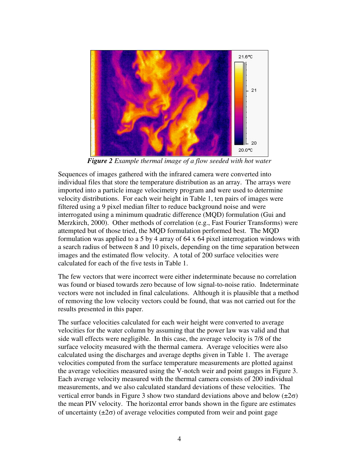

*Figure 2 Example thermal image of a flow seeded with hot water*

Sequences of images gathered with the infrared camera were converted into individual files that store the temperature distribution as an array. The arrays were imported into a particle image velocimetry program and were used to determine velocity distributions. For each weir height in Table 1, ten pairs of images were filtered using a 9 pixel median filter to reduce background noise and were interrogated using a minimum quadratic difference (MQD) formulation (Gui and Merzkirch, 2000). Other methods of correlation (e.g., Fast Fourier Transforms) were attempted but of those tried, the MQD formulation performed best. The MQD formulation was applied to a 5 by 4 array of 64 x 64 pixel interrogation windows with a search radius of between 8 and 10 pixels, depending on the time separation between images and the estimated flow velocity. A total of 200 surface velocities were calculated for each of the five tests in Table 1.

The few vectors that were incorrect were either indeterminate because no correlation was found or biased towards zero because of low signal-to-noise ratio. Indeterminate vectors were not included in final calculations. Although it is plausible that a method of removing the low velocity vectors could be found, that was not carried out for the results presented in this paper.

The surface velocities calculated for each weir height were converted to average velocities for the water column by assuming that the power law was valid and that side wall effects were negligible. In this case, the average velocity is 7/8 of the surface velocity measured with the thermal camera. Average velocities were also calculated using the discharges and average depths given in Table 1. The average velocities computed from the surface temperature measurements are plotted against the average velocities measured using the V-notch weir and point gauges in Figure 3. Each average velocity measured with the thermal camera consists of 200 individual measurements, and we also calculated standard deviations of these velocities. The vertical error bands in Figure 3 show two standard deviations above and below  $(\pm 2\sigma)$ the mean PIV velocity. The horizontal error bands shown in the figure are estimates of uncertainty  $(\pm 2\sigma)$  of average velocities computed from weir and point gage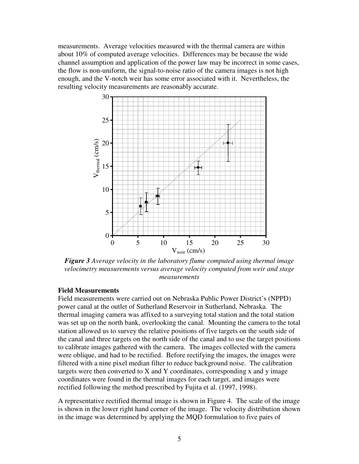measurements. Average velocities measured with the thermal camera are within about 10% of computed average velocities. Differences may be because the wide channel assumption and application of the power law may be incorrect in some cases, the flow is non-uniform, the signal-to-noise ratio of the camera images is not high enough, and the V-notch weir has some error associated with it. Nevertheless, the resulting velocity measurements are reasonably accurate.



*Figure 3 Average velocity in the laboratory flume computed using thermal image velocimetry measurements versus average velocity computed from weir and stage measurements*

### **Field Measurements**

Field measurements were carried out on Nebraska Public Power District's (NPPD) power canal at the outlet of Sutherland Reservoir in Sutherland, Nebraska. The thermal imaging camera was affixed to a surveying total station and the total station was set up on the north bank, overlooking the canal. Mounting the camera to the total station allowed us to survey the relative positions of five targets on the south side of the canal and three targets on the north side of the canal and to use the target positions to calibrate images gathered with the camera. The images collected with the camera were oblique, and had to be rectified. Before rectifying the images, the images were filtered with a nine pixel median filter to reduce background noise. The calibration targets were then converted to X and Y coordinates, corresponding x and y image coordinates were found in the thermal images for each target, and images were rectified following the method prescribed by Fujita et al. (1997, 1998).

A representative rectified thermal image is shown in Figure 4. The scale of the image is shown in the lower right hand corner of the image. The velocity distribution shown in the image was determined by applying the MQD formulation to five pairs of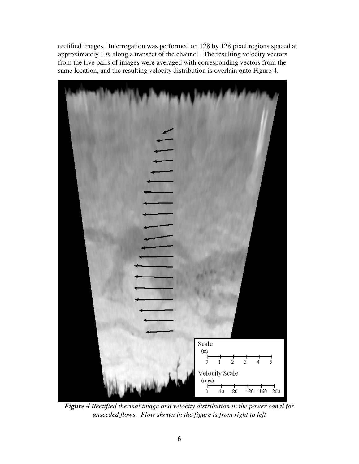rectified images. Interrogation was performed on 128 by 128 pixel regions spaced at approximately 1 *m* along a transect of the channel. The resulting velocity vectors from the five pairs of images were averaged with corresponding vectors from the same location, and the resulting velocity distribution is overlain onto Figure 4.



*Figure 4 Rectified thermal image and velocity distribution in the power canal for unseeded flows. Flow shown in the figure is from right to left*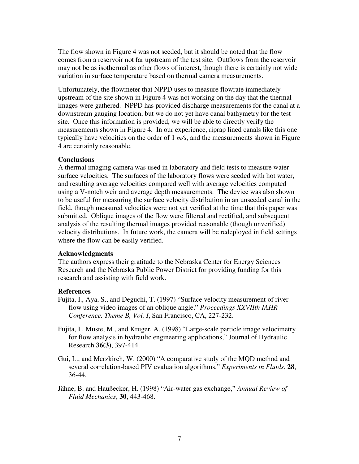The flow shown in Figure 4 was not seeded, but it should be noted that the flow comes from a reservoir not far upstream of the test site. Outflows from the reservoir may not be as isothermal as other flows of interest, though there is certainly not wide variation in surface temperature based on thermal camera measurements.

Unfortunately, the flowmeter that NPPD uses to measure flowrate immediately upstream of the site shown in Figure 4 was not working on the day that the thermal images were gathered. NPPD has provided discharge measurements for the canal at a downstream gauging location, but we do not yet have canal bathymetry for the test site. Once this information is provided, we will be able to directly verify the measurements shown in Figure 4. In our experience, riprap lined canals like this one typically have velocities on the order of 1 *m/s*, and the measurements shown in Figure 4 are certainly reasonable.

#### **Conclusions**

A thermal imaging camera was used in laboratory and field tests to measure water surface velocities. The surfaces of the laboratory flows were seeded with hot water, and resulting average velocities compared well with average velocities computed using a V-notch weir and average depth measurements. The device was also shown to be useful for measuring the surface velocity distribution in an unseeded canal in the field, though measured velocities were not yet verified at the time that this paper was submitted. Oblique images of the flow were filtered and rectified, and subsequent analysis of the resulting thermal images provided reasonable (though unverified) velocity distributions. In future work, the camera will be redeployed in field settings where the flow can be easily verified.

### **Acknowledgments**

The authors express their gratitude to the Nebraska Center for Energy Sciences Research and the Nebraska Public Power District for providing funding for this research and assisting with field work.

#### **References**

- Fujita, I., Aya, S., and Deguchi, T. (1997) "Surface velocity measurement of river flow using video images of an oblique angle," *Proceedings XXVIIth IAHR Conference, Theme B, Vol. I*, San Francisco, CA, 227-232.
- Fujita, I., Muste, M., and Kruger, A. (1998) "Large-scale particle image velocimetry for flow analysis in hydraulic engineering applications," Journal of Hydraulic Research **36(3)**, 397-414.
- Gui, L., and Merzkirch, W. (2000) "A comparative study of the MQD method and several correlation-based PIV evaluation algorithms," *Experiments in Fluids*, **28**, 36-44.
- Jähne, B. and Haußecker, H. (1998) "Air-water gas exchange," *Annual Review of Fluid Mechanics*, **30**, 443-468.